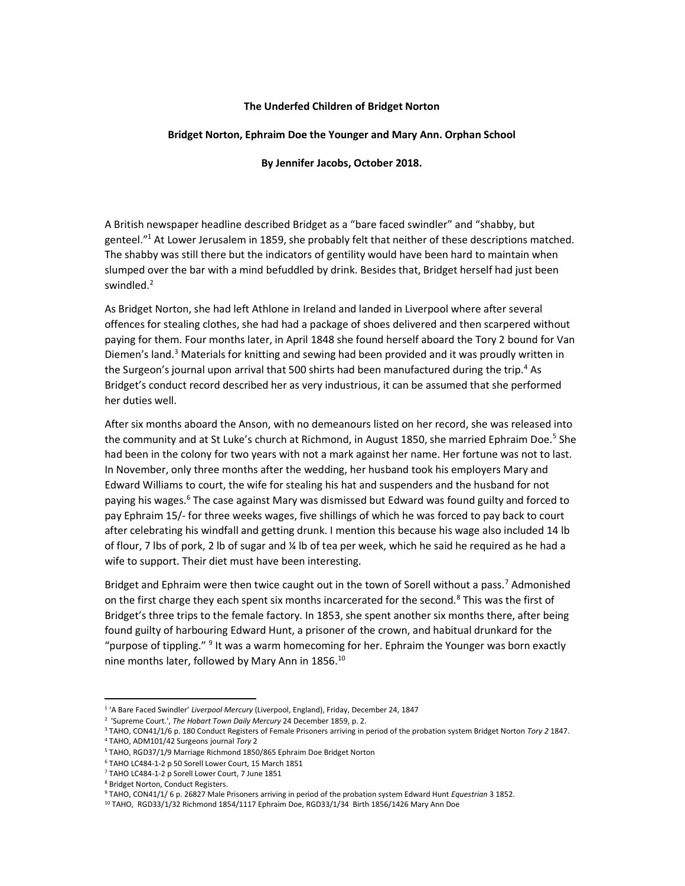## The Underfed Children of Bridget Norton

## Bridget Norton, Ephraim Doe the Younger and Mary Ann. Orphan School

## By Jennifer Jacobs, October 2018.

A British newspaper headline described Bridget as a "bare faced swindler" and "shabby, but genteel."<sup>1</sup> At Lower Jerusalem in 1859, she probably felt that neither of these descriptions matched. The shabby was still there but the indicators of gentility would have been hard to maintain when slumped over the bar with a mind befuddled by drink. Besides that, Bridget herself had just been swindled.<sup>2</sup>

As Bridget Norton, she had left Athlone in Ireland and landed in Liverpool where after several offences for stealing clothes, she had had a package of shoes delivered and then scarpered without paying for them. Four months later, in April 1848 she found herself aboard the Tory 2 bound for Van Diemen's land.<sup>3</sup> Materials for knitting and sewing had been provided and it was proudly written in the Surgeon's journal upon arrival that 500 shirts had been manufactured during the trip.<sup>4</sup> As Bridget's conduct record described her as very industrious, it can be assumed that she performed her duties well.

After six months aboard the Anson, with no demeanours listed on her record, she was released into the community and at St Luke's church at Richmond, in August 1850, she married Ephraim Doe.<sup>5</sup> She had been in the colony for two years with not a mark against her name. Her fortune was not to last. In November, only three months after the wedding, her husband took his employers Mary and Edward Williams to court, the wife for stealing his hat and suspenders and the husband for not paying his wages.<sup>6</sup> The case against Mary was dismissed but Edward was found guilty and forced to pay Ephraim 15/- for three weeks wages, five shillings of which he was forced to pay back to court after celebrating his windfall and getting drunk. I mention this because his wage also included 14 lb of flour, 7 lbs of pork, 2 lb of sugar and ¼ lb of tea per week, which he said he required as he had a wife to support. Their diet must have been interesting.

Bridget and Ephraim were then twice caught out in the town of Sorell without a pass.<sup>7</sup> Admonished on the first charge they each spent six months incarcerated for the second.<sup>8</sup> This was the first of Bridget's three trips to the female factory. In 1853, she spent another six months there, after being found guilty of harbouring Edward Hunt, a prisoner of the crown, and habitual drunkard for the "purpose of tippling." <sup>9</sup> It was a warm homecoming for her. Ephraim the Younger was born exactly nine months later, followed by Mary Ann in 1856.<sup>10</sup>

-

<sup>&</sup>lt;sup>1</sup> 'A Bare Faced Swindler' Liverpool Mercury (Liverpool, England), Friday, December 24, 1847

<sup>&</sup>lt;sup>2</sup> 'Supreme Court.', The Hobart Town Daily Mercury 24 December 1859, p. 2.

<sup>&</sup>lt;sup>3</sup> TAHO, CON41/1/6 p. 180 Conduct Registers of Female Prisoners arriving in period of the probation system Bridget Norton Tory 2 1847.

<sup>4</sup> TAHO, ADM101/42 Surgeons journal Tory 2

<sup>5</sup> TAHO, RGD37/1/9 Marriage Richmond 1850/865 Ephraim Doe Bridget Norton

<sup>6</sup> TAHO LC484-1-2 p 50 Sorell Lower Court, 15 March 1851

<sup>7</sup> TAHO LC484-1-2 p Sorell Lower Court, 7 June 1851

<sup>8</sup> Bridget Norton, Conduct Registers.

<sup>&</sup>lt;sup>9</sup> TAHO, CON41/1/ 6 p. 26827 Male Prisoners arriving in period of the probation system Edward Hunt Equestrian 3 1852.

<sup>10</sup> TAHO, RGD33/1/32 Richmond 1854/1117 Ephraim Doe, RGD33/1/34 Birth 1856/1426 Mary Ann Doe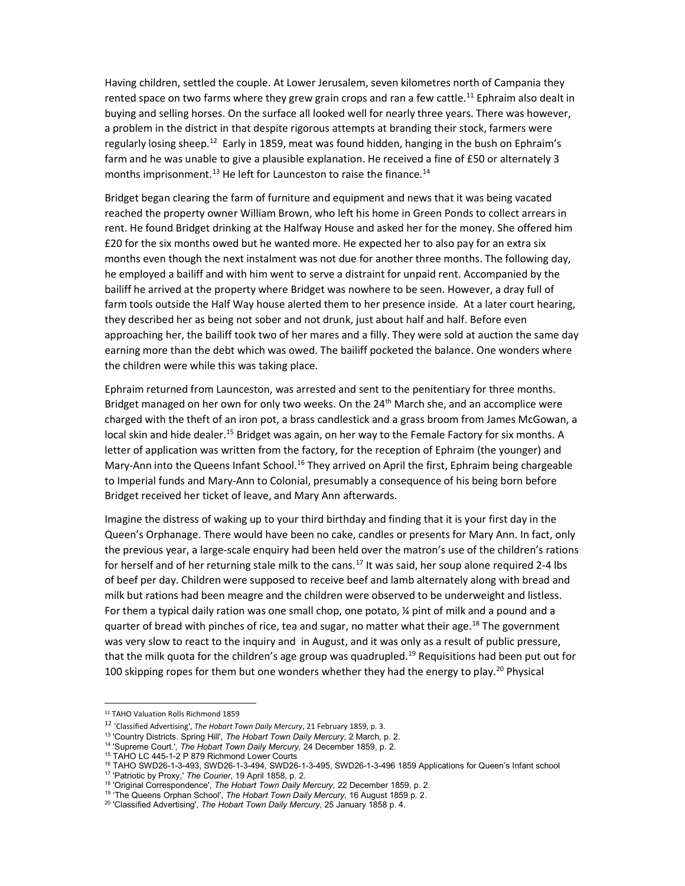Having children, settled the couple. At Lower Jerusalem, seven kilometres north of Campania they rented space on two farms where they grew grain crops and ran a few cattle.<sup>11</sup> Ephraim also dealt in buying and selling horses. On the surface all looked well for nearly three years. There was however, a problem in the district in that despite rigorous attempts at branding their stock, farmers were regularly losing sheep.<sup>12</sup> Early in 1859, meat was found hidden, hanging in the bush on Ephraim's farm and he was unable to give a plausible explanation. He received a fine of £50 or alternately 3 months imprisonment.<sup>13</sup> He left for Launceston to raise the finance.<sup>14</sup>

Bridget began clearing the farm of furniture and equipment and news that it was being vacated reached the property owner William Brown, who left his home in Green Ponds to collect arrears in rent. He found Bridget drinking at the Halfway House and asked her for the money. She offered him £20 for the six months owed but he wanted more. He expected her to also pay for an extra six months even though the next instalment was not due for another three months. The following day, he employed a bailiff and with him went to serve a distraint for unpaid rent. Accompanied by the bailiff he arrived at the property where Bridget was nowhere to be seen. However, a dray full of farm tools outside the Half Way house alerted them to her presence inside. At a later court hearing, they described her as being not sober and not drunk, just about half and half. Before even approaching her, the bailiff took two of her mares and a filly. They were sold at auction the same day earning more than the debt which was owed. The bailiff pocketed the balance. One wonders where the children were while this was taking place.

Ephraim returned from Launceston, was arrested and sent to the penitentiary for three months. Bridget managed on her own for only two weeks. On the 24<sup>th</sup> March she, and an accomplice were charged with the theft of an iron pot, a brass candlestick and a grass broom from James McGowan, a local skin and hide dealer.<sup>15</sup> Bridget was again, on her way to the Female Factory for six months. A letter of application was written from the factory, for the reception of Ephraim (the younger) and Mary-Ann into the Queens Infant School.<sup>16</sup> They arrived on April the first, Ephraim being chargeable to Imperial funds and Mary-Ann to Colonial, presumably a consequence of his being born before Bridget received her ticket of leave, and Mary Ann afterwards.

Imagine the distress of waking up to your third birthday and finding that it is your first day in the Queen's Orphanage. There would have been no cake, candles or presents for Mary Ann. In fact, only the previous year, a large-scale enquiry had been held over the matron's use of the children's rations for herself and of her returning stale milk to the cans.<sup>17</sup> It was said, her soup alone required 2-4 lbs of beef per day. Children were supposed to receive beef and lamb alternately along with bread and milk but rations had been meagre and the children were observed to be underweight and listless. For them a typical daily ration was one small chop, one potato, ¼ pint of milk and a pound and a quarter of bread with pinches of rice, tea and sugar, no matter what their age.<sup>18</sup> The government was very slow to react to the inquiry and in August, and it was only as a result of public pressure, that the milk quota for the children's age group was quadrupled.<sup>19</sup> Requisitions had been put out for 100 skipping ropes for them but one wonders whether they had the energy to play.<sup>20</sup> Physical

1

<sup>11</sup> TAHO Valuation Rolls Richmond 1859

<sup>&</sup>lt;sup>12</sup> 'Classified Advertising', The Hobart Town Daily Mercury, 21 February 1859, p. 3.

<sup>&</sup>lt;sup>13</sup> 'Country Districts. Spring Hill', The Hobart Town Daily Mercury, 2 March, p. 2.

<sup>&</sup>lt;sup>14</sup> 'Supreme Court.', The Hobart Town Daily Mercury, 24 December 1859, p. 2.

<sup>15</sup> TAHO LC 445-1-2 P 879 Richmond Lower Courts

<sup>16</sup> TAHO SWD26-1-3-493, SWD26-1-3-494, SWD26-1-3-495, SWD26-1-3-496 1859 Applications for Queen's Infant school <sup>17</sup> 'Patriotic by Proxy,' The Courier, 19 April 1858, p. 2.

<sup>&</sup>lt;sup>18</sup> 'Original Correspondence', The Hobart Town Daily Mercury, 22 December 1859, p. 2.

<sup>&</sup>lt;sup>19</sup> 'The Queens Orphan School', The Hobart Town Daily Mercury, 16 August 1859 p. 2.

<sup>&</sup>lt;sup>20</sup> 'Classified Advertising', The Hobart Town Daily Mercury, 25 January 1858 p. 4.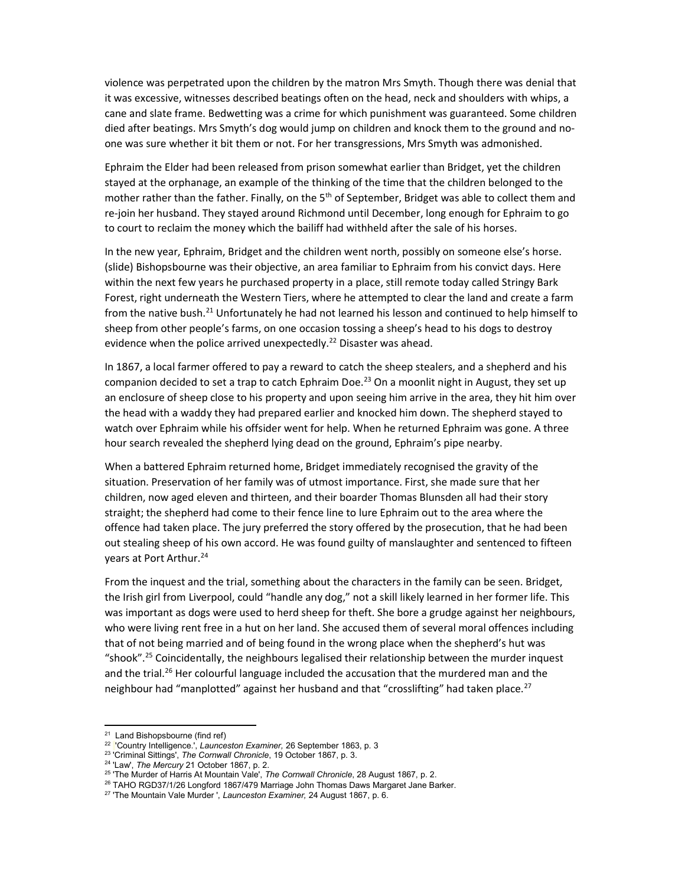violence was perpetrated upon the children by the matron Mrs Smyth. Though there was denial that it was excessive, witnesses described beatings often on the head, neck and shoulders with whips, a cane and slate frame. Bedwetting was a crime for which punishment was guaranteed. Some children died after beatings. Mrs Smyth's dog would jump on children and knock them to the ground and noone was sure whether it bit them or not. For her transgressions, Mrs Smyth was admonished.

Ephraim the Elder had been released from prison somewhat earlier than Bridget, yet the children stayed at the orphanage, an example of the thinking of the time that the children belonged to the mother rather than the father. Finally, on the 5<sup>th</sup> of September, Bridget was able to collect them and re-join her husband. They stayed around Richmond until December, long enough for Ephraim to go to court to reclaim the money which the bailiff had withheld after the sale of his horses.

In the new year, Ephraim, Bridget and the children went north, possibly on someone else's horse. (slide) Bishopsbourne was their objective, an area familiar to Ephraim from his convict days. Here within the next few years he purchased property in a place, still remote today called Stringy Bark Forest, right underneath the Western Tiers, where he attempted to clear the land and create a farm from the native bush.<sup>21</sup> Unfortunately he had not learned his lesson and continued to help himself to sheep from other people's farms, on one occasion tossing a sheep's head to his dogs to destroy evidence when the police arrived unexpectedly.<sup>22</sup> Disaster was ahead.

In 1867, a local farmer offered to pay a reward to catch the sheep stealers, and a shepherd and his companion decided to set a trap to catch Ephraim Doe.<sup>23</sup> On a moonlit night in August, they set up an enclosure of sheep close to his property and upon seeing him arrive in the area, they hit him over the head with a waddy they had prepared earlier and knocked him down. The shepherd stayed to watch over Ephraim while his offsider went for help. When he returned Ephraim was gone. A three hour search revealed the shepherd lying dead on the ground, Ephraim's pipe nearby.

When a battered Ephraim returned home, Bridget immediately recognised the gravity of the situation. Preservation of her family was of utmost importance. First, she made sure that her children, now aged eleven and thirteen, and their boarder Thomas Blunsden all had their story straight; the shepherd had come to their fence line to lure Ephraim out to the area where the offence had taken place. The jury preferred the story offered by the prosecution, that he had been out stealing sheep of his own accord. He was found guilty of manslaughter and sentenced to fifteen years at Port Arthur.<sup>24</sup>

From the inquest and the trial, something about the characters in the family can be seen. Bridget, the Irish girl from Liverpool, could "handle any dog," not a skill likely learned in her former life. This was important as dogs were used to herd sheep for theft. She bore a grudge against her neighbours, who were living rent free in a hut on her land. She accused them of several moral offences including that of not being married and of being found in the wrong place when the shepherd's hut was "shook".<sup>25</sup> Coincidentally, the neighbours legalised their relationship between the murder inquest and the trial.<sup>26</sup> Her colourful language included the accusation that the murdered man and the neighbour had "manplotted" against her husband and that "crosslifting" had taken place.<sup>27</sup>

1

<sup>21</sup> Land Bishopsbourne (find ref)

<sup>&</sup>lt;sup>22</sup> Country Intelligence.', Launceston Examiner, 26 September 1863, p. 3

<sup>&</sup>lt;sup>23</sup> Criminal Sittings', The Cornwall Chronicle, 19 October 1867, p. 3.

<sup>&</sup>lt;sup>24</sup> 'Law', The Mercury 21 October 1867, p. 2.

<sup>&</sup>lt;sup>25</sup> 'The Murder of Harris At Mountain Vale', The Cornwall Chronicle, 28 August 1867, p. 2.

<sup>&</sup>lt;sup>26</sup> TAHO RGD37/1/26 Longford 1867/479 Marriage John Thomas Daws Margaret Jane Barker.

<sup>&</sup>lt;sup>27</sup> 'The Mountain Vale Murder ', Launceston Examiner, 24 August 1867, p. 6.